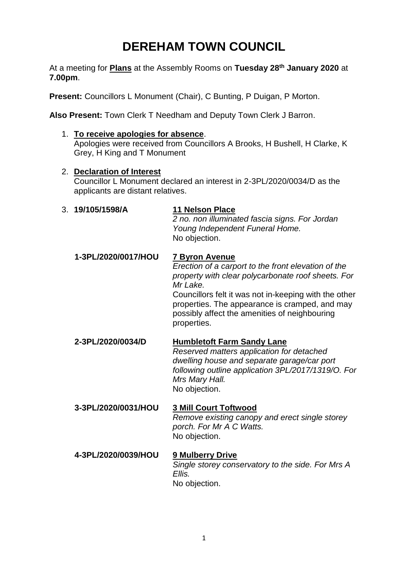## **DEREHAM TOWN COUNCIL**

At a meeting for **Plans** at the Assembly Rooms on **Tuesday 28th January 2020** at **7.00pm**.

**Present:** Councillors L Monument (Chair), C Bunting, P Duigan, P Morton.

**Also Present:** Town Clerk T Needham and Deputy Town Clerk J Barron.

- 1. **To receive apologies for absence**. Apologies were received from Councillors A Brooks, H Bushell, H Clarke, K Grey, H King and T Monument
- 2. **Declaration of Interest** Councillor L Monument declared an interest in 2-3PL/2020/0034/D as the applicants are distant relatives.

3. **19/105/1598/A 11 Nelson Place** *2 no. non illuminated fascia signs. For Jordan Young Independent Funeral Home.*  No objection. **1-3PL/2020/0017/HOU 7 Byron Avenue** *Erection of a carport to the front elevation of the property with clear polycarbonate roof sheets. For Mr Lake.* Councillors felt it was not in-keeping with the other properties. The appearance is cramped, and may possibly affect the amenities of neighbouring properties. **2-3PL/2020/0034/D Humbletoft Farm Sandy Lane**  *Reserved matters application for detached dwelling house and separate garage/car port following outline application 3PL/2017/1319/O. For Mrs Mary Hall.* No objection. **3-3PL/2020/0031/HOU 3 Mill Court Toftwood**  *Remove existing canopy and erect single storey porch. For Mr A C Watts.* No objection. **4-3PL/2020/0039/HOU 9 Mulberry Drive**  *Single storey conservatory to the side. For Mrs A Ellis.*

No objection.